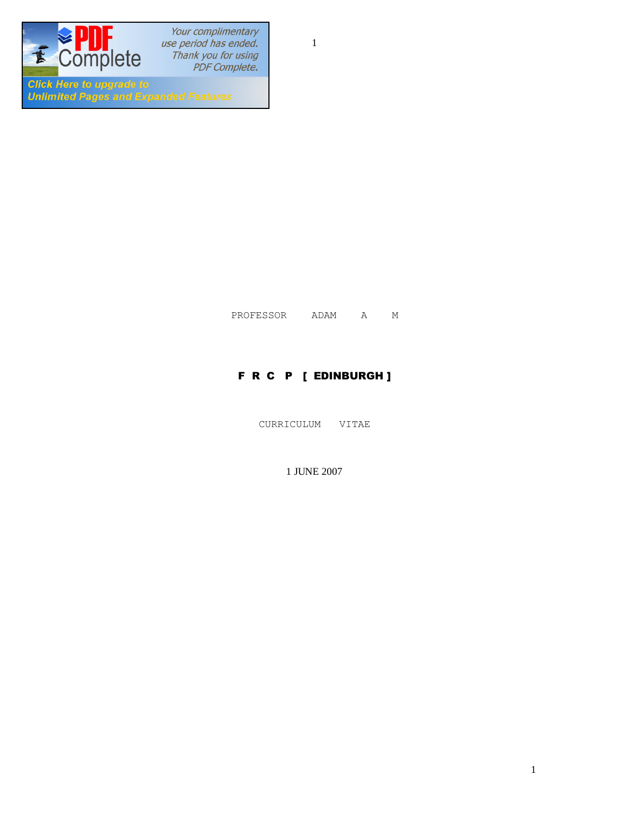

**Click Here to upgrade to<br>Unlimited Pages and Expanded Features** 

PROFESSOR ADAM A M

# F R C P [ EDINBURGH ]

CURRICULUM VITAE

1 JUNE 2007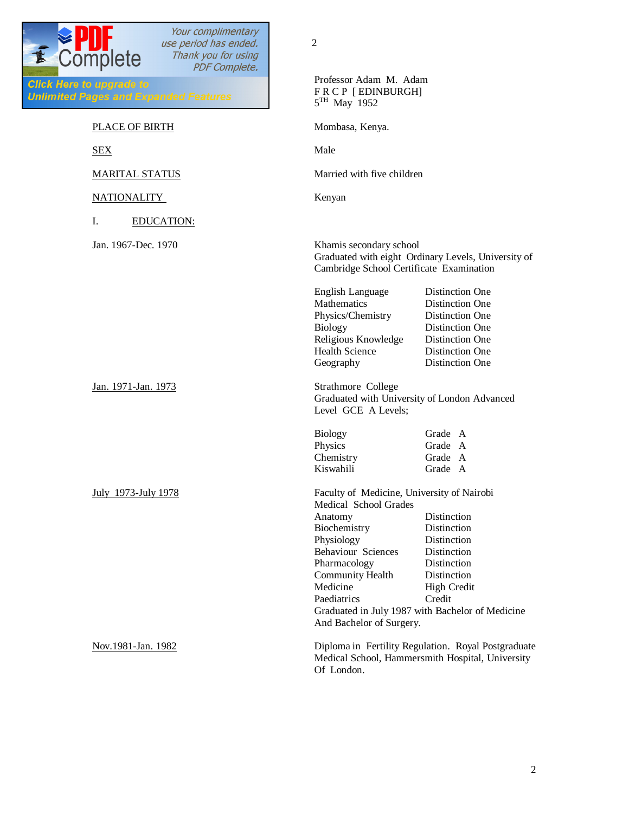

2

| re to upgrade to<br>d Pages and Expanded Features | Professor Adam M. Adam<br>FRCP [EDINBURGH]<br>$5TH$ May 1952                                                                       |                                                                                                                                              |  |
|---------------------------------------------------|------------------------------------------------------------------------------------------------------------------------------------|----------------------------------------------------------------------------------------------------------------------------------------------|--|
| PLACE OF BIRTH                                    | Mombasa, Kenya.                                                                                                                    |                                                                                                                                              |  |
| <b>SEX</b>                                        | Male                                                                                                                               |                                                                                                                                              |  |
| <b>MARITAL STATUS</b>                             |                                                                                                                                    | Married with five children                                                                                                                   |  |
| <b>NATIONALITY</b>                                | Kenyan                                                                                                                             |                                                                                                                                              |  |
| I.<br><b>EDUCATION:</b>                           |                                                                                                                                    |                                                                                                                                              |  |
| Jan. 1967-Dec. 1970                               | Khamis secondary school<br>Graduated with eight Ordinary Levels, University of<br>Cambridge School Certificate Examination         |                                                                                                                                              |  |
|                                                   | English Language<br>Mathematics<br>Physics/Chemistry<br>Biology<br>Religious Knowledge<br><b>Health Science</b><br>Geography       | Distinction One<br>Distinction One<br>Distinction One<br>Distinction One<br>Distinction One<br>Distinction One<br>Distinction One            |  |
| Jan. 1971-Jan. 1973                               | Strathmore College<br>Graduated with University of London Advanced<br>Level GCE A Levels;                                          |                                                                                                                                              |  |
|                                                   | <b>Biology</b><br>Physics<br>Chemistry<br>Kiswahili                                                                                | Grade A<br>Grade A<br>Grade A<br>Grade A                                                                                                     |  |
| <b>July 1973-July 1978</b>                        | Faculty of Medicine, University of Nairobi<br>Medical School Grades<br>Distinction<br>Anatomy<br>Biochemistry<br>Distinction       |                                                                                                                                              |  |
|                                                   | Physiology<br><b>Behaviour Sciences</b><br>Pharmacology<br>Community Health<br>Medicine<br>Paediatrics<br>And Bachelor of Surgery. | Distinction<br>Distinction<br>Distinction<br>Distinction<br><b>High Credit</b><br>Credit<br>Graduated in July 1987 with Bachelor of Medicine |  |
| Nov.1981-Jan. 1982                                | Of London.                                                                                                                         | Diploma in Fertility Regulation. Royal Postgraduate<br>Medical School, Hammersmith Hospital, University                                      |  |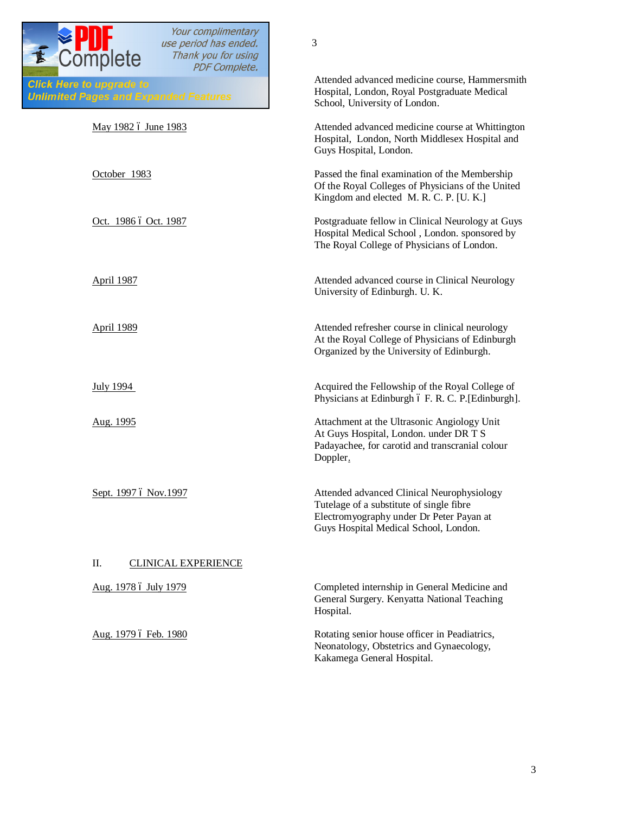| Your complimentary<br><b>≫ PUF</b><br>Complete<br>use period has ended.<br>Thank you for using<br><b>PDF Complete.</b> | 3                                                                                                                                                                           |
|------------------------------------------------------------------------------------------------------------------------|-----------------------------------------------------------------------------------------------------------------------------------------------------------------------------|
| <b>Click Here to upgrade to</b><br><b>Unlimited Pages and Expanded Features</b>                                        | Attended advanced medicine course, Hammersmith<br>Hospital, London, Royal Postgraduate Medical<br>School, University of London.                                             |
| <u>May 1982 6 June 1983</u>                                                                                            | Attended advanced medicine course at Whittington<br>Hospital, London, North Middlesex Hospital and<br>Guys Hospital, London.                                                |
| October 1983                                                                                                           | Passed the final examination of the Membership<br>Of the Royal Colleges of Physicians of the United<br>Kingdom and elected M. R. C. P. [U. K.]                              |
| Oct. 1986 ó Oct. 1987                                                                                                  | Postgraduate fellow in Clinical Neurology at Guys<br>Hospital Medical School, London. sponsored by<br>The Royal College of Physicians of London.                            |
| <b>April 1987</b>                                                                                                      | Attended advanced course in Clinical Neurology<br>University of Edinburgh. U. K.                                                                                            |
| <b>April 1989</b>                                                                                                      | Attended refresher course in clinical neurology<br>At the Royal College of Physicians of Edinburgh<br>Organized by the University of Edinburgh.                             |
| <b>July 1994</b>                                                                                                       | Acquired the Fellowship of the Royal College of<br>Physicians at Edinburgh ó F. R. C. P.[Edinburgh].                                                                        |
| <u>Aug. 1995</u>                                                                                                       | Attachment at the Ultrasonic Angiology Unit<br>At Guys Hospital, London. under DR T S<br>Padayachee, for carotid and transcranial colour<br>Doppler.                        |
| Sept. 1997 ó Nov. 1997                                                                                                 | Attended advanced Clinical Neurophysiology<br>Tutelage of a substitute of single fibre<br>Electromyography under Dr Peter Payan at<br>Guys Hospital Medical School, London. |
| П.<br><b>CLINICAL EXPERIENCE</b>                                                                                       |                                                                                                                                                                             |
| Aug. 1978 6 July 1979                                                                                                  | Completed internship in General Medicine and<br>General Surgery. Kenyatta National Teaching<br>Hospital.                                                                    |
| Aug. 1979 ó Feb. 1980                                                                                                  | Rotating senior house officer in Peadiatrics,<br>Neonatology, Obstetrics and Gynaecology,<br>Kakamega General Hospital.                                                     |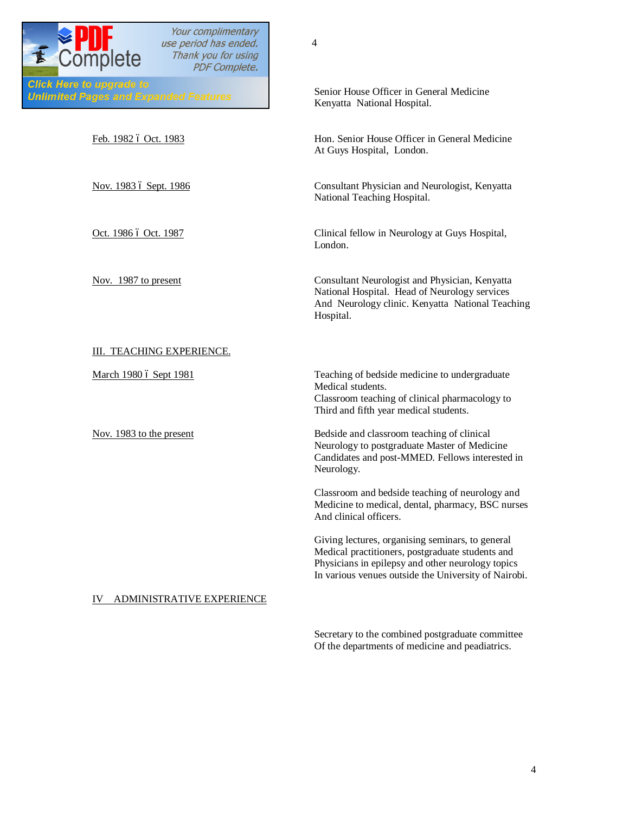

Click Here to upgrade to<br>
Unlimited Pages and Expanded Features<br>
Versuite National Hessiel

4

Kenyatta National Hospital.

Feb. 1982 6 Oct. 1983 **Hon.** Senior House Officer in General Medicine At Guys Hospital, London.

Nov. 1983 6 Sept. 1986 **Consultant Physician and Neurologist**, Kenyatta National Teaching Hospital.

Oct. 1986 6 Oct. 1987 Clinical fellow in Neurology at Guys Hospital, London.

Nov. 1987 to present Consultant Neurologist and Physician, Kenyatta National Hospital. Head of Neurology services And Neurology clinic. Kenyatta National Teaching Hospital.

### III. TEACHING EXPERIENCE.

March 1980 6 Sept 1981 Teaching of bedside medicine to undergraduate Medical students. Classroom teaching of clinical pharmacology to Third and fifth year medical students. Nov. 1983 to the present Bedside and classroom teaching of clinical Neurology to postgraduate Master of Medicine Candidates and post-MMED. Fellows interested in Neurology. Classroom and bedside teaching of neurology and Medicine to medical, dental, pharmacy, BSC nurses And clinical officers.

Giving lectures, organising seminars, to general Medical practitioners, postgraduate students and Physicians in epilepsy and other neurology topics In various venues outside the University of Nairobi.

### IV ADMINISTRATIVE EXPERIENCE

Secretary to the combined postgraduate committee Of the departments of medicine and peadiatrics.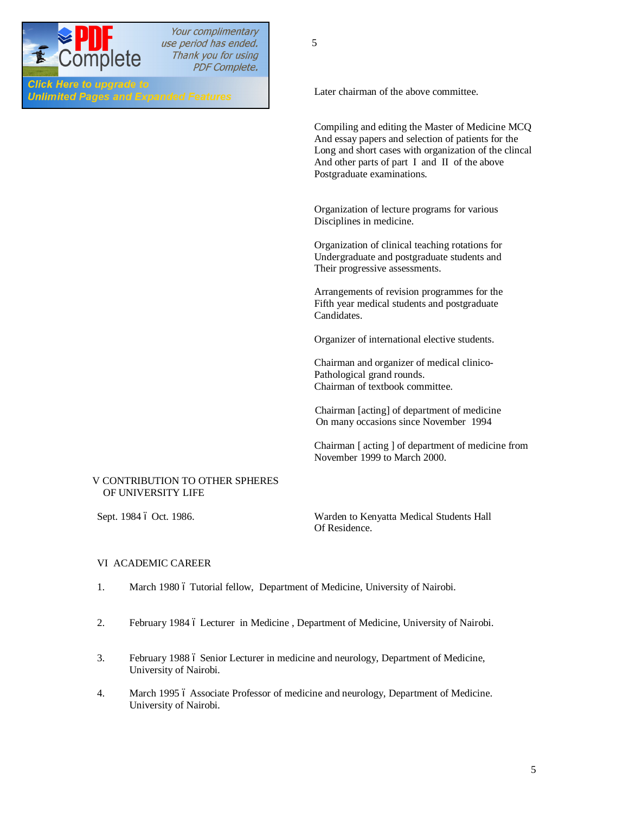

**Click Here to upgrade to Unlimited Pages and Expanded Features** 

Later chairman of the above committee.

Compiling and editing the Master of Medicine MCQ And essay papers and selection of patients for the Long and short cases with organization of the clincal And other parts of part I and II of the above Postgraduate examinations.

Organization of lecture programs for various Disciplines in medicine.

Organization of clinical teaching rotations for Undergraduate and postgraduate students and Their progressive assessments.

Arrangements of revision programmes for the Fifth year medical students and postgraduate Candidates.

Organizer of international elective students.

Chairman and organizer of medical clinico-Pathological grand rounds. Chairman of textbook committee.

 Chairman [acting] of department of medicine On many occasions since November 1994

Chairman [ acting ] of department of medicine from November 1999 to March 2000.

### V CONTRIBUTION TO OTHER SPHERES OF UNIVERSITY LIFE

Sept. 1984 6 Oct. 1986. Warden to Kenyatta Medical Students Hall Of Residence.

#### VI ACADEMIC CAREER

- 1. March 1980 6 Tutorial fellow, Department of Medicine, University of Nairobi.
- 2. February 1984 6 Lecturer in Medicine, Department of Medicine, University of Nairobi.
- 3. February 1988 6 Senior Lecturer in medicine and neurology, Department of Medicine, University of Nairobi.
- 4. March 1995 ó Associate Professor of medicine and neurology, Department of Medicine. University of Nairobi.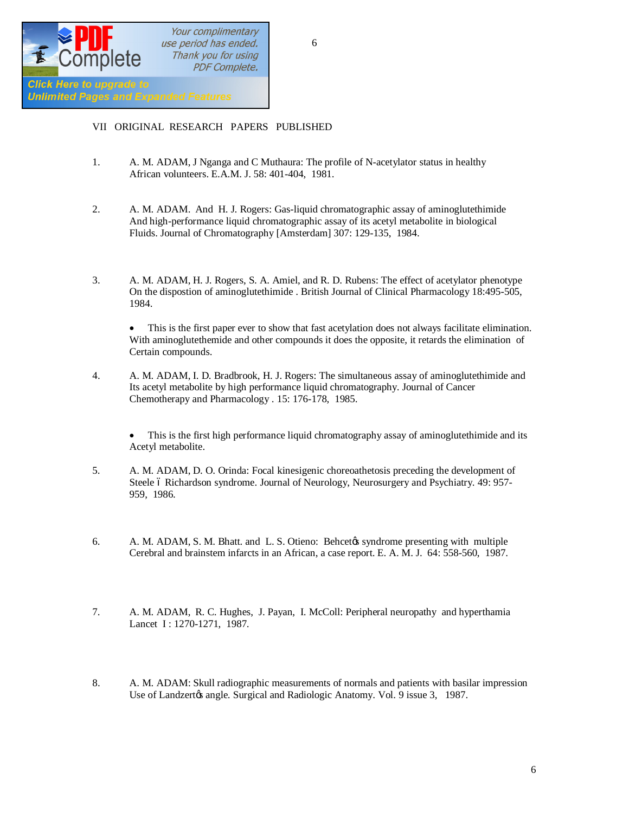

## VII ORIGINAL RESEARCH PAPERS PUBLISHED

- 1. A. M. ADAM, J Nganga and C Muthaura: The profile of N-acetylator status in healthy African volunteers. E.A.M. J. 58: 401-404, 1981.
- 2. A. M. ADAM. And H. J. Rogers: Gas-liquid chromatographic assay of aminoglutethimide And high-performance liquid chromatographic assay of its acetyl metabolite in biological Fluids. Journal of Chromatography [Amsterdam] 307: 129-135, 1984.
- 3. A. M. ADAM, H. J. Rogers, S. A. Amiel, and R. D. Rubens: The effect of acetylator phenotype On the dispostion of aminoglutethimide . British Journal of Clinical Pharmacology 18:495-505, 1984.

This is the first paper ever to show that fast acetylation does not always facilitate elimination. With aminoglutethemide and other compounds it does the opposite, it retards the elimination of Certain compounds.

4. A. M. ADAM, I. D. Bradbrook, H. J. Rogers: The simultaneous assay of aminoglutethimide and Its acetyl metabolite by high performance liquid chromatography. Journal of Cancer Chemotherapy and Pharmacology . 15: 176-178, 1985.

This is the first high performance liquid chromatography assay of aminoglutethimide and its Acetyl metabolite.

- 5. A. M. ADAM, D. O. Orinda: Focal kinesigenic choreoathetosis preceding the development of Steele 6 Richardson syndrome. Journal of Neurology, Neurosurgery and Psychiatry. 49: 957-959, 1986.
- 6. A. M. ADAM, S. M. Bhatt. and L. S. Otieno: Behcet & syndrome presenting with multiple Cerebral and brainstem infarcts in an African, a case report. E. A. M. J. 64: 558-560, 1987.
- 7. A. M. ADAM, R. C. Hughes, J. Payan, I. McColl: Peripheral neuropathy and hyperthamia Lancet I: 1270-1271, 1987.
- 8. A. M. ADAM: Skull radiographic measurements of normals and patients with basilar impression Use of Landzertøs angle. Surgical and Radiologic Anatomy. Vol. 9 issue 3, 1987.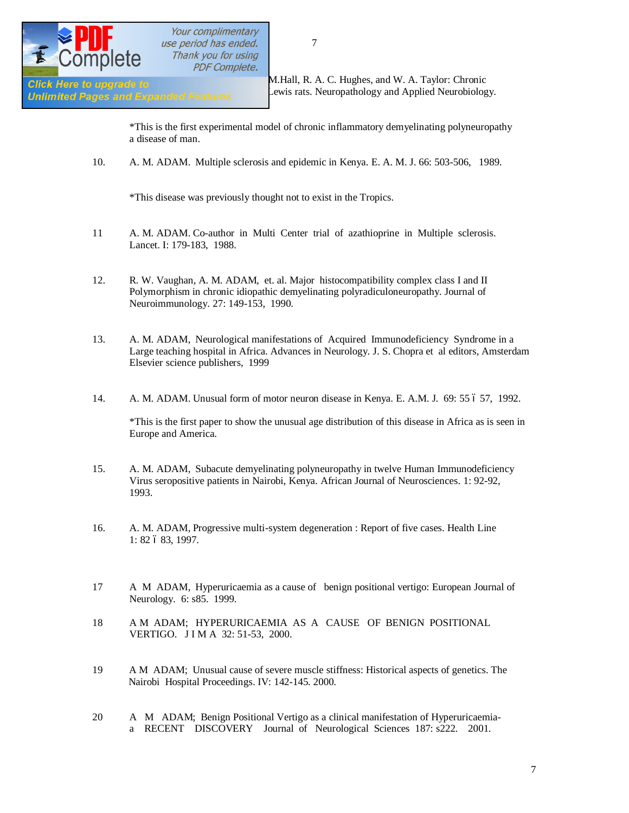

**Unlimited Pages and Expanded Features** 

**9. A. M. Hall, R. A. C. Hughes, and W. A. Taylor: Chronic Click Here to upgrade to** Lewis rats. Neuropathology and Applied Neurobiology.

> \*This is the first experimental model of chronic inflammatory demyelinating polyneuropathy a disease of man.

10. A. M. ADAM. Multiple sclerosis and epidemic in Kenya. E. A. M. J. 66: 503-506, 1989.

\*This disease was previously thought not to exist in the Tropics.

- 11 A. M. ADAM. Co-author in Multi Center trial of azathioprine in Multiple sclerosis. Lancet. I: 179-183, 1988.
- 12. R. W. Vaughan, A. M. ADAM, et. al. Major histocompatibility complex class I and II Polymorphism in chronic idiopathic demyelinating polyradiculoneuropathy. Journal of Neuroimmunology. 27: 149-153, 1990.
- 13. A. M. ADAM, Neurological manifestations of Acquired Immunodeficiency Syndrome in a Large teaching hospital in Africa. Advances in Neurology. J. S. Chopra et al editors, Amsterdam Elsevier science publishers, 1999
- 14. A. M. ADAM. Unusual form of motor neuron disease in Kenya. E. A.M. J. 69: 55 6 57, 1992.

\*This is the first paper to show the unusual age distribution of this disease in Africa as is seen in Europe and America.

- 15. A. M. ADAM, Subacute demyelinating polyneuropathy in twelve Human Immunodeficiency Virus seropositive patients in Nairobi, Kenya. African Journal of Neurosciences. 1: 92-92, 1993.
- 16. A. M. ADAM, Progressive multi-system degeneration : Report of five cases. Health Line 1: 82 6 83, 1997.
- 17 A M ADAM, Hyperuricaemia as a cause of benign positional vertigo: European Journal of Neurology. 6: s85. 1999.
- 18 A M ADAM; HYPERURICAEMIA AS A CAUSE OF BENIGN POSITIONAL VERTIGO. J I M A 32: 51-53, 2000.
- 19 A M ADAM; Unusual cause of severe muscle stiffness: Historical aspects of genetics. The Nairobi Hospital Proceedings. IV: 142-145. 2000.
- 20 A M ADAM; Benign Positional Vertigo as a clinical manifestation of Hyperuricaemiaa RECENT DISCOVERY Journal of Neurological Sciences 187: s222. 2001.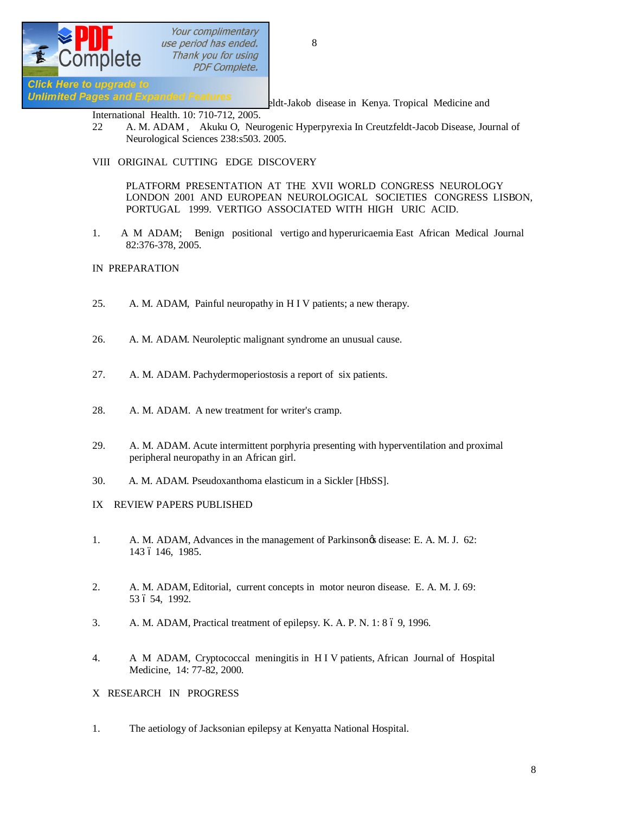

8

**Click Here to upgrade to** 

**Unlimited Pages and Expanded Features** eldt-Jakob disease in Kenya. Tropical Medicine and

- International Health. 10: 710-712, 2005.
	- 22 A. M. ADAM , Akuku O, Neurogenic Hyperpyrexia In Creutzfeldt-Jacob Disease, Journal of Neurological Sciences 238:s503. 2005.
	- VIII ORIGINAL CUTTING EDGE DISCOVERY

 PLATFORM PRESENTATION AT THE XVII WORLD CONGRESS NEUROLOGY LONDON 2001 AND EUROPEAN NEUROLOGICAL SOCIETIES CONGRESS LISBON, PORTUGAL 1999. VERTIGO ASSOCIATED WITH HIGH URIC ACID.

1. A M ADAM; Benign positional vertigo and hyperuricaemia East African Medical Journal 82:376-378, 2005.

#### IN PREPARATION

- 25. A. M. ADAM, Painful neuropathy in H I V patients; a new therapy.
- 26. A. M. ADAM. Neuroleptic malignant syndrome an unusual cause.
- 27. A. M. ADAM. Pachydermoperiostosis a report of six patients.
- 28. A. M. ADAM. A new treatment for writer's cramp.
- 29. A. M. ADAM. Acute intermittent porphyria presenting with hyperventilation and proximal peripheral neuropathy in an African girl.
- 30. A. M. ADAM. Pseudoxanthoma elasticum in a Sickler [HbSS].
- IX REVIEW PAPERS PUBLISHED
- 1. A. M. ADAM, Advances in the management of Parkinson $\alpha$  disease: E. A. M. J. 62: 143 6 146, 1985.
- 2. A. M. ADAM, Editorial, current concepts in motor neuron disease. E. A. M. J. 69: 53 6 54, 1992.
- 3. A. M. ADAM, Practical treatment of epilepsy. K. A. P. N. 1: 8 6 9, 1996.
- 4. A M ADAM, Cryptococcal meningitis in H I V patients, African Journal of Hospital Medicine, 14: 77-82, 2000.
- X RESEARCH IN PROGRESS
- 1. The aetiology of Jacksonian epilepsy at Kenyatta National Hospital.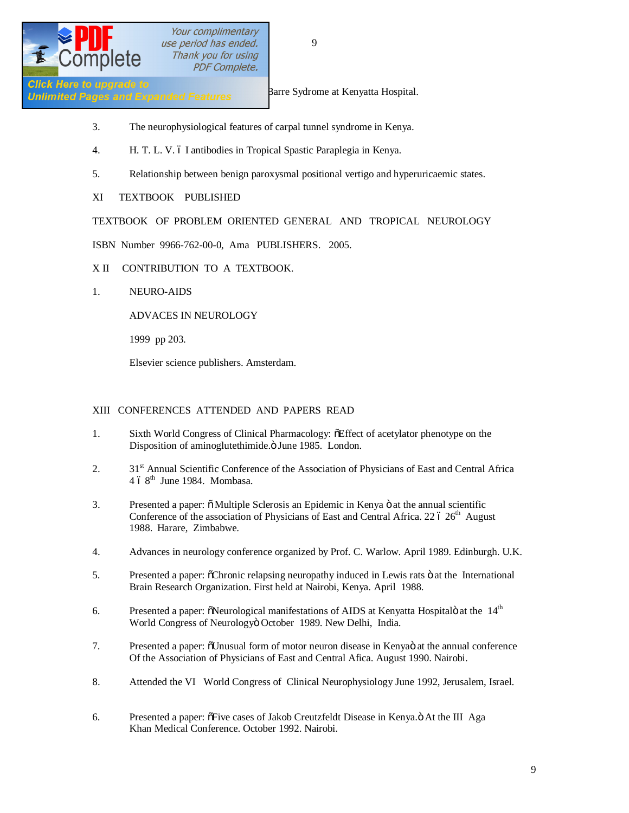

Click Here to upgrade to<br>
Unlimited Pages and Expanded Features<br>
Unlimited Pages and Expanded Features<br>
Sarre Sydrome at Kenyatta Hospital.

- 3. The neurophysiological features of carpal tunnel syndrome in Kenya.
- 4. H. T. L. V. 6 I antibodies in Tropical Spastic Paraplegia in Kenya.
- 5. Relationship between benign paroxysmal positional vertigo and hyperuricaemic states.

### XI TEXTBOOK PUBLISHED

TEXTBOOK OF PROBLEM ORIENTED GENERAL AND TROPICAL NEUROLOGY

ISBN Number 9966-762-00-0, Ama PUBLISHERS. 2005.

- X II CONTRIBUTION TO A TEXTBOOK.
- 1. NEURO-AIDS

ADVACES IN NEUROLOGY

1999 pp 203.

Elsevier science publishers. Amsterdam.

### XIII CONFERENCES ATTENDED AND PAPERS READ

- 1. Sixth World Congress of Clinical Pharmacology:  $\delta$ Effect of acetylator phenotype on the Disposition of aminoglutethimide. ö June 1985. London.
- 2. 31<sup>st</sup> Annual Scientific Conference of the Association of Physicians of East and Central Africa  $4.68$ <sup>th</sup> June 1984. Mombasa.
- 3. Presented a paper:  $\ddot{\text{o}}$  Multiple Sclerosis an Epidemic in Kenya  $\ddot{\text{o}}$  at the annual scientific Conference of the association of Physicians of East and Central Africa. 22 6 26<sup>th</sup> August 1988. Harare, Zimbabwe.
- 4. Advances in neurology conference organized by Prof. C. Warlow. April 1989. Edinburgh. U.K.
- 5. Presented a paper:  $\delta$ Chronic relapsing neuropathy induced in Lewis rats  $\ddot{o}$  at the International Brain Research Organization. First held at Nairobi, Kenya. April 1988.
- 6. Presented a paper:  $\delta$ Neurological manifestations of AIDS at Kenyatta Hospital at the  $14<sup>th</sup>$ World Congress of Neurologyö October 1989. New Delhi, India.
- 7. Presented a paper:  $\delta$ Unusual form of motor neuron disease in Kenya dat the annual conference Of the Association of Physicians of East and Central Afica. August 1990. Nairobi.
- 8. Attended the VI World Congress of Clinical Neurophysiology June 1992, Jerusalem, Israel.
- 6. Presented a paper:  $\delta$ Five cases of Jakob Creutzfeldt Disease in Kenya. $\ddot{o}$  At the III Aga Khan Medical Conference. October 1992. Nairobi.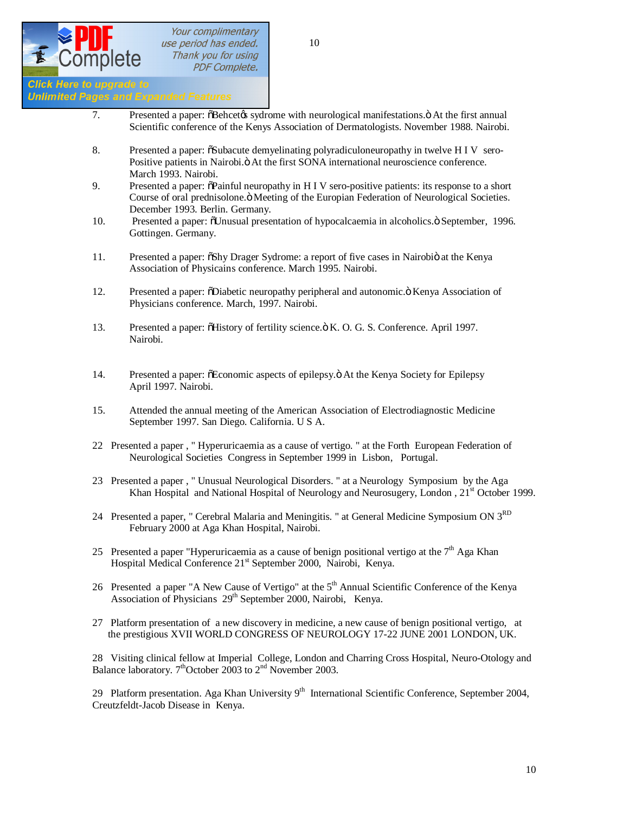

**Click Here to upgrade to** 

Your complimentary use period has ended. Thank you for using **PDF Complete.** 

## **Unlimited Pages and Expanded Features**

- 7. Presented a paper:  $\delta$ Behcet& sydrome with neurological manifestations. $\ddot{o}$  At the first annual Scientific conference of the Kenys Association of Dermatologists. November 1988. Nairobi.
- 8. Presented a paper:  $\delta$ Subacute demyelinating polyradiculoneuropathy in twelve H I V sero-Positive patients in Nairobi.  $\ddot{o}$  At the first SONA international neuroscience conference. March 1993. Nairobi.
- 9. Presented a paper:  $\delta$ Painful neuropathy in H I V sero-positive patients: its response to a short Course of oral prednisolone. " Meeting of the Europian Federation of Neurological Societies. December 1993. Berlin. Germany.
- 10. Presented a paper:  $\delta$ Unusual presentation of hypocalcaemia in alcoholics. $\delta$  September, 1996. Gottingen. Germany.
- 11. Presented a paper:  $\delta$ Shy Drager Sydrome: a report of five cases in Nairobio at the Kenya Association of Physicains conference. March 1995. Nairobi.
- 12. Presented a paper:  $\delta$ Diabetic neuropathy peripheral and autonomic. $\delta$  Kenya Association of Physicians conference. March, 1997. Nairobi.
- 13. Presented a paper:  $\delta$ History of fertility science. $\delta$  K. O. G. S. Conference. April 1997. Nairobi.
- 14. Presented a paper:  $\delta$ Economic aspects of epilepsy. $\ddot{o}$  At the Kenya Society for Epilepsy April 1997. Nairobi.
- 15. Attended the annual meeting of the American Association of Electrodiagnostic Medicine September 1997. San Diego. California. U S A.
- 22 Presented a paper , " Hyperuricaemia as a cause of vertigo. " at the Forth European Federation of Neurological Societies Congress in September 1999 in Lisbon, Portugal.
- 23 Presented a paper , " Unusual Neurological Disorders. " at a Neurology Symposium by the Aga Khan Hospital and National Hospital of Neurology and Neurosugery, London, 21<sup>st</sup> October 1999.
- 24 Presented a paper, " Cerebral Malaria and Meningitis. " at General Medicine Symposium ON 3<sup>RD</sup> February 2000 at Aga Khan Hospital, Nairobi.
- 25 Presented a paper "Hyperuricaemia as a cause of benign positional vertigo at the  $7<sup>th</sup>$  Aga Khan Hospital Medical Conference 21<sup>st</sup> September 2000, Nairobi, Kenya.
- 26 Presented a paper "A New Cause of Vertigo" at the 5<sup>th</sup> Annual Scientific Conference of the Kenya Association of Physicians 29<sup>th</sup> September 2000, Nairobi, Kenya.
- 27 Platform presentation of a new discovery in medicine, a new cause of benign positional vertigo, at the prestigious XVII WORLD CONGRESS OF NEUROLOGY 17-22 JUNE 2001 LONDON, UK.

28 Visiting clinical fellow at Imperial College, London and Charring Cross Hospital, Neuro-Otology and Balance laboratory. 7<sup>th</sup>October 2003 to 2<sup>nd</sup> November 2003.

29 Platform presentation. Aga Khan University 9<sup>th</sup> International Scientific Conference, September 2004, Creutzfeldt-Jacob Disease in Kenya.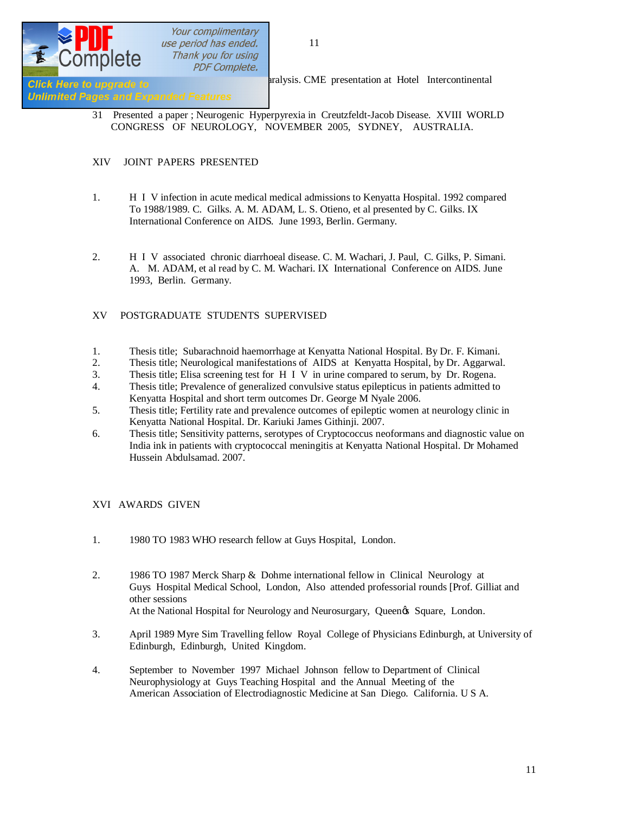

**30 Intervention at Hotel Intercontinental** and **SOLUTE:** Presentation at Hotel Intercontinental

## **Unlimited Pages and Expanded Features**

31 Presented a paper ; Neurogenic Hyperpyrexia in Creutzfeldt-Jacob Disease. XVIII WORLD CONGRESS OF NEUROLOGY, NOVEMBER 2005, SYDNEY, AUSTRALIA.

### XIV JOINT PAPERS PRESENTED

- 1. H I V infection in acute medical medical admissions to Kenyatta Hospital. 1992 compared To 1988/1989. C. Gilks. A. M. ADAM, L. S. Otieno, et al presented by C. Gilks. IX International Conference on AIDS. June 1993, Berlin. Germany.
- 2. H I V associated chronic diarrhoeal disease. C. M. Wachari, J. Paul, C. Gilks, P. Simani. A. M. ADAM, et al read by C. M. Wachari. IX International Conference on AIDS. June 1993, Berlin. Germany.

### XV POSTGRADUATE STUDENTS SUPERVISED

- 1. Thesis title; Subarachnoid haemorrhage at Kenyatta National Hospital. By Dr. F. Kimani.
- 2. Thesis title; Neurological manifestations of AIDS at Kenyatta Hospital, by Dr. Aggarwal.
- 3. Thesis title; Elisa screening test for H I V in urine compared to serum, by Dr. Rogena.
- 4. Thesis title; Prevalence of generalized convulsive status epilepticus in patients admitted to Kenyatta Hospital and short term outcomes Dr. George M Nyale 2006.
- 5. Thesis title; Fertility rate and prevalence outcomes of epileptic women at neurology clinic in Kenyatta National Hospital. Dr. Kariuki James Githinji. 2007.
- 6. Thesis title; Sensitivity patterns, serotypes of Cryptococcus neoformans and diagnostic value on India ink in patients with cryptococcal meningitis at Kenyatta National Hospital. Dr Mohamed Hussein Abdulsamad. 2007.

### XVI AWARDS GIVEN

- 1. 1980 TO 1983 WHO research fellow at Guys Hospital, London.
- 2. 1986 TO 1987 Merck Sharp & Dohme international fellow in Clinical Neurology at Guys Hospital Medical School, London, Also attended professorial rounds [Prof. Gilliat and other sessions At the National Hospital for Neurology and Neurosurgary, Queen $\alpha$  Square, London.
- 3. April 1989 Myre Sim Travelling fellow Royal College of Physicians Edinburgh, at University of Edinburgh, Edinburgh, United Kingdom.
- 4. September to November 1997 Michael Johnson fellow to Department of Clinical Neurophysiology at Guys Teaching Hospital and the Annual Meeting of the American Association of Electrodiagnostic Medicine at San Diego. California. U S A.